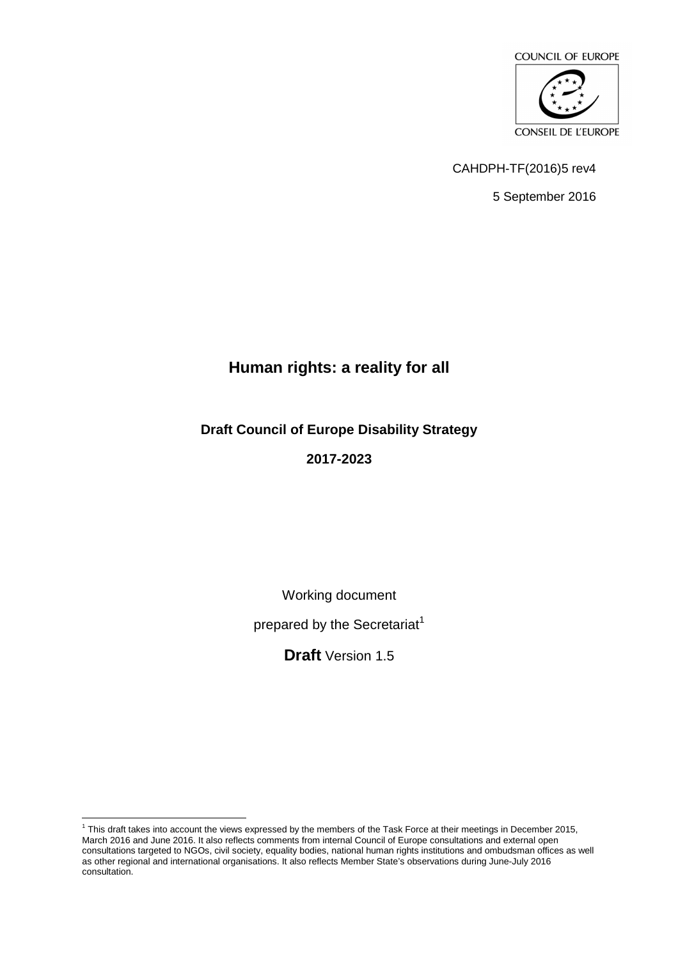

CAHDPH-TF(2016)5 rev4

5 September 2016

# **Human rights: a reality for all**

**Draft Council of Europe Disability Strategy 2017-2023** 

Working document

prepared by the Secretariat<sup>1</sup>

**Draft** Version 1.5

This draft takes into account the views expressed by the members of the Task Force at their meetings in December 2015, March 2016 and June 2016. It also reflects comments from internal Council of Europe consultations and external open consultations targeted to NGOs, civil society, equality bodies, national human rights institutions and ombudsman offices as well as other regional and international organisations. It also reflects Member State's observations during June-July 2016 consultation.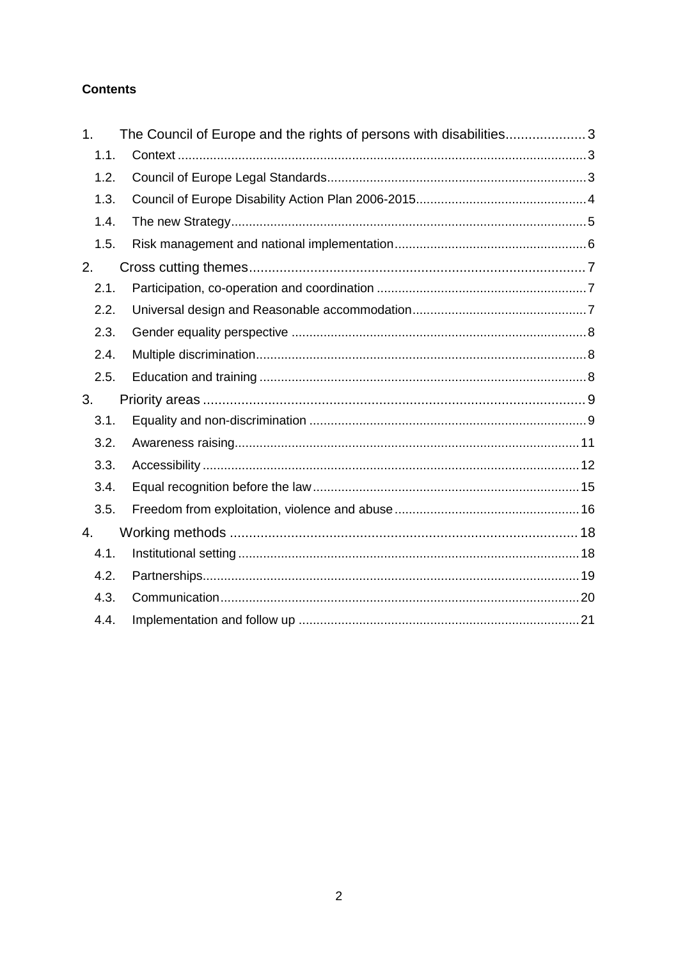#### **Contents**

| 1.   | The Council of Europe and the rights of persons with disabilities3 |  |
|------|--------------------------------------------------------------------|--|
| 1.1. |                                                                    |  |
| 1.2. |                                                                    |  |
| 1.3. |                                                                    |  |
| 1.4. |                                                                    |  |
| 1.5. |                                                                    |  |
| 2.   |                                                                    |  |
| 2.1. |                                                                    |  |
| 2.2. |                                                                    |  |
| 2.3. |                                                                    |  |
| 2.4. |                                                                    |  |
| 2.5. |                                                                    |  |
| 3.   |                                                                    |  |
| 3.1. |                                                                    |  |
| 3.2. |                                                                    |  |
| 3.3. |                                                                    |  |
| 3.4. |                                                                    |  |
| 3.5. |                                                                    |  |
| 4.   |                                                                    |  |
| 4.1. |                                                                    |  |
| 4.2. |                                                                    |  |
| 4.3. |                                                                    |  |
| 4.4. |                                                                    |  |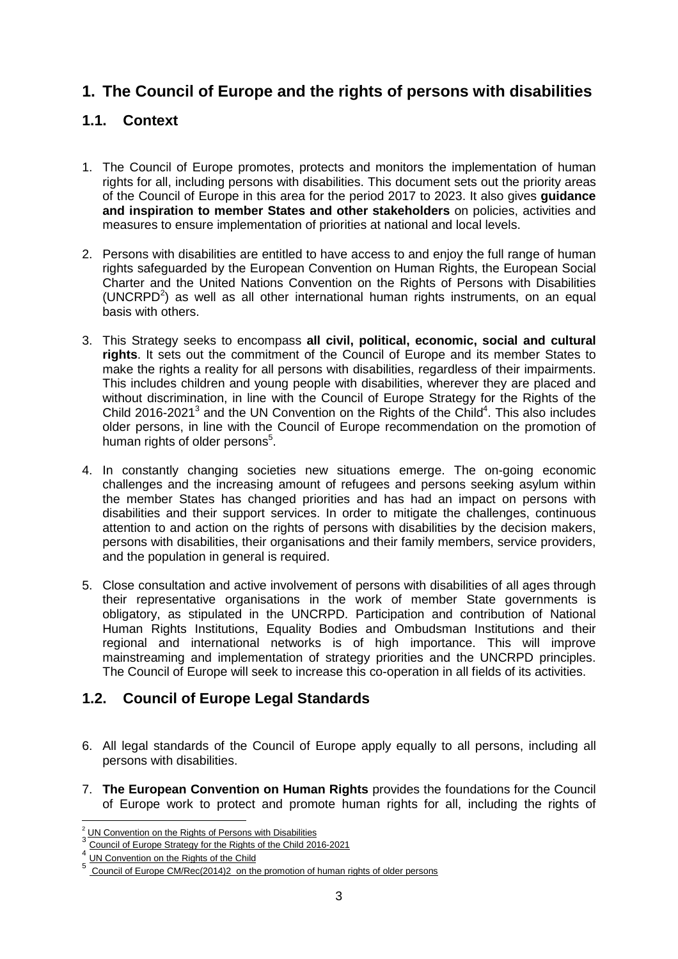# **1. The Council of Europe and the rights of persons with disabilities**

# **1.1. Context**

- 1. The Council of Europe promotes, protects and monitors the implementation of human rights for all, including persons with disabilities. This document sets out the priority areas of the Council of Europe in this area for the period 2017 to 2023. It also gives **guidance and inspiration to member States and other stakeholders** on policies, activities and measures to ensure implementation of priorities at national and local levels.
- 2. Persons with disabilities are entitled to have access to and enjoy the full range of human rights safeguarded by the European Convention on Human Rights, the European Social Charter and the United Nations Convention on the Rights of Persons with Disabilities  $(UNCRPD<sup>2</sup>)$  as well as all other international human rights instruments, on an equal basis with others.
- 3. This Strategy seeks to encompass **all civil, political, economic, social and cultural rights**. It sets out the commitment of the Council of Europe and its member States to make the rights a reality for all persons with disabilities, regardless of their impairments. This includes children and young people with disabilities, wherever they are placed and without discrimination, in line with the Council of Europe Strategy for the Rights of the Child 2016-2021 $3$  and the UN Convention on the Rights of the Child<sup>4</sup>. This also includes older persons, in line with the Council of Europe recommendation on the promotion of human rights of older persons<sup>5</sup>.
- 4. In constantly changing societies new situations emerge. The on-going economic challenges and the increasing amount of refugees and persons seeking asylum within the member States has changed priorities and has had an impact on persons with disabilities and their support services. In order to mitigate the challenges, continuous attention to and action on the rights of persons with disabilities by the decision makers, persons with disabilities, their organisations and their family members, service providers, and the population in general is required.
- 5. Close consultation and active involvement of persons with disabilities of all ages through their representative organisations in the work of member State governments is obligatory, as stipulated in the UNCRPD. Participation and contribution of National Human Rights Institutions, Equality Bodies and Ombudsman Institutions and their regional and international networks is of high importance. This will improve mainstreaming and implementation of strategy priorities and the UNCRPD principles. The Council of Europe will seek to increase this co-operation in all fields of its activities.

## **1.2. Council of Europe Legal Standards**

- 6. All legal standards of the Council of Europe apply equally to all persons, including all persons with disabilities.
- 7. **The European Convention on Human Rights** provides the foundations for the Council of Europe work to protect and promote human rights for all, including the rights of

<sup>&</sup>lt;sup>2</sup> UN Convention on the Rights of Persons with Disabilities<sup>3</sup><br><sup>3</sup> Ownail of Europe Otation for the Pinkle of the Ohild 201

Council of Europe Strategy for the Rights of the Child 2016-2021

<sup>4</sup> UN Convention on the Rights of the Child

<sup>5</sup> Council of Europe CM/Rec(2014)2 on the promotion of human rights of older persons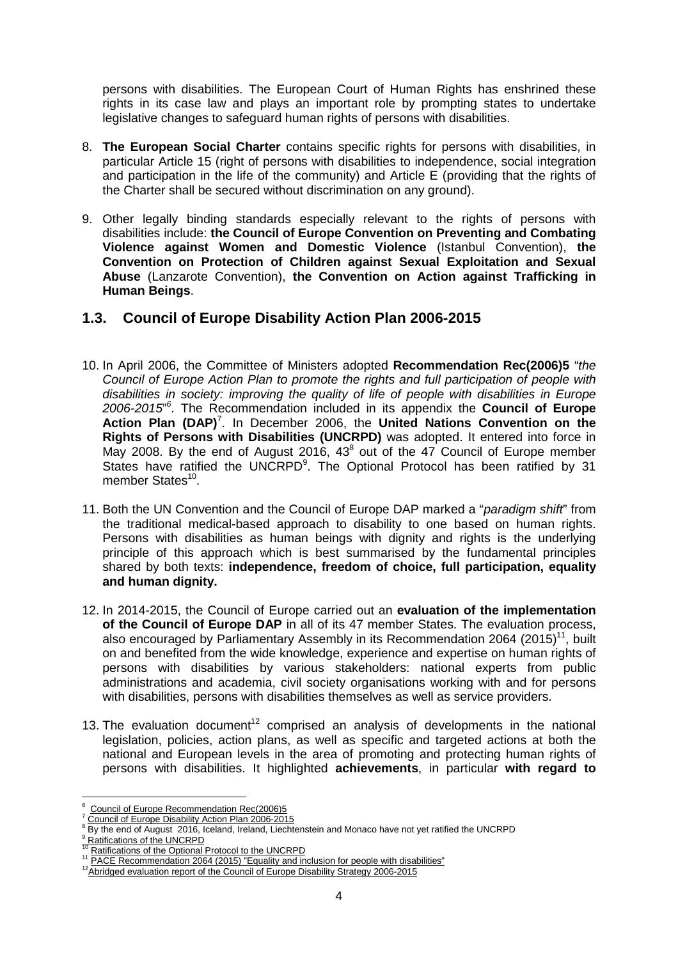persons with disabilities. The European Court of Human Rights has enshrined these rights in its case law and plays an important role by prompting states to undertake legislative changes to safeguard human rights of persons with disabilities.

- 8. **The European Social Charter** contains specific rights for persons with disabilities, in particular Article 15 (right of persons with disabilities to independence, social integration and participation in the life of the community) and Article E (providing that the rights of the Charter shall be secured without discrimination on any ground).
- 9. Other legally binding standards especially relevant to the rights of persons with disabilities include: **the Council of Europe Convention on Preventing and Combating Violence against Women and Domestic Violence** (Istanbul Convention), **the Convention on Protection of Children against Sexual Exploitation and Sexual Abuse** (Lanzarote Convention), **the Convention on Action against Trafficking in Human Beings**.

## **1.3. Council of Europe Disability Action Plan 2006-2015**

- 10. In April 2006, the Committee of Ministers adopted **Recommendation Rec(2006)5** "the Council of Europe Action Plan to promote the rights and full participation of people with disabilities in society: improving the quality of life of people with disabilities in Europe 2006-2015" 6 . The Recommendation included in its appendix the **Council of Europe**  Action Plan (DAP)<sup>7</sup>. In December 2006, the United Nations Convention on the **Rights of Persons with Disabilities (UNCRPD)** was adopted. It entered into force in May 2008. By the end of August 2016,  $43<sup>8</sup>$  out of the 47 Council of Europe member States have ratified the UNCRPD $9$ . The Optional Protocol has been ratified by 31 member States<sup>10</sup>.
- 11. Both the UN Convention and the Council of Europe DAP marked a "paradigm shift" from the traditional medical-based approach to disability to one based on human rights. Persons with disabilities as human beings with dignity and rights is the underlying principle of this approach which is best summarised by the fundamental principles shared by both texts: **independence, freedom of choice, full participation, equality and human dignity.**
- 12. In 2014-2015, the Council of Europe carried out an **evaluation of the implementation of the Council of Europe DAP** in all of its 47 member States. The evaluation process, also encouraged by Parliamentary Assembly in its Recommendation 2064 (2015)<sup>11</sup>, built on and benefited from the wide knowledge, experience and expertise on human rights of persons with disabilities by various stakeholders: national experts from public administrations and academia, civil society organisations working with and for persons with disabilities, persons with disabilities themselves as well as service providers.
- 13. The evaluation document<sup>12</sup> comprised an analysis of developments in the national legislation, policies, action plans, as well as specific and targeted actions at both the national and European levels in the area of promoting and protecting human rights of persons with disabilities. It highlighted **achievements**, in particular **with regard to**

 $\overline{a}$ 

<sup>6</sup> Council of Europe Recommendation Rec(2006)5

<sup>&</sup>lt;sup>7</sup> Council of Europe Disability Action Plan 2006-2015<br><sup>8</sup> By the end of August 2016, Iceland, Ireland, Liechtenstein and Monaco have not yet ratified the UNCRPD <sup>9</sup> Ratifications of the UNCRPD

<sup>&</sup>lt;sup>10</sup> Ratifications of the Optional Protocol to the UNCRPD

<sup>&</sup>lt;sup>11</sup> PACE Recommendation 2064 (2015) "Equality and inclusion for people with disabilities"

<sup>&</sup>lt;sup>12</sup>Abridged evaluation report of the Council of Europe Disability Strategy 2006-2015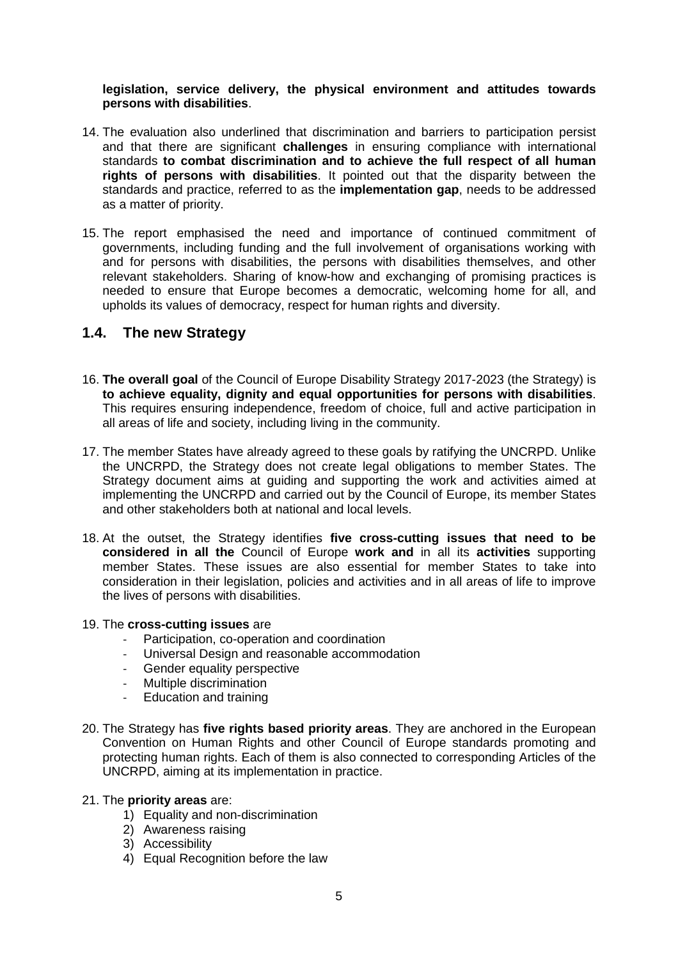#### **legislation, service delivery, the physical environment and attitudes towards persons with disabilities**.

- 14. The evaluation also underlined that discrimination and barriers to participation persist and that there are significant **challenges** in ensuring compliance with international standards **to combat discrimination and to achieve the full respect of all human rights of persons with disabilities**. It pointed out that the disparity between the standards and practice, referred to as the **implementation gap**, needs to be addressed as a matter of priority.
- 15. The report emphasised the need and importance of continued commitment of governments, including funding and the full involvement of organisations working with and for persons with disabilities, the persons with disabilities themselves, and other relevant stakeholders. Sharing of know-how and exchanging of promising practices is needed to ensure that Europe becomes a democratic, welcoming home for all, and upholds its values of democracy, respect for human rights and diversity.

## **1.4. The new Strategy**

- 16. **The overall goal** of the Council of Europe Disability Strategy 2017-2023 (the Strategy) is **to achieve equality, dignity and equal opportunities for persons with disabilities**. This requires ensuring independence, freedom of choice, full and active participation in all areas of life and society, including living in the community.
- 17. The member States have already agreed to these goals by ratifying the UNCRPD. Unlike the UNCRPD, the Strategy does not create legal obligations to member States. The Strategy document aims at guiding and supporting the work and activities aimed at implementing the UNCRPD and carried out by the Council of Europe, its member States and other stakeholders both at national and local levels.
- 18. At the outset, the Strategy identifies **five cross-cutting issues that need to be considered in all the** Council of Europe **work and** in all its **activities** supporting member States. These issues are also essential for member States to take into consideration in their legislation, policies and activities and in all areas of life to improve the lives of persons with disabilities.

#### 19. The **cross-cutting issues** are

- Participation, co-operation and coordination
- Universal Design and reasonable accommodation
- Gender equality perspective
- Multiple discrimination
- Education and training
- 20. The Strategy has **five rights based priority areas**. They are anchored in the European Convention on Human Rights and other Council of Europe standards promoting and protecting human rights. Each of them is also connected to corresponding Articles of the UNCRPD, aiming at its implementation in practice.

#### 21. The **priority areas** are:

- 1) Equality and non-discrimination
- 2) Awareness raising
- 3) Accessibility
- 4) Equal Recognition before the law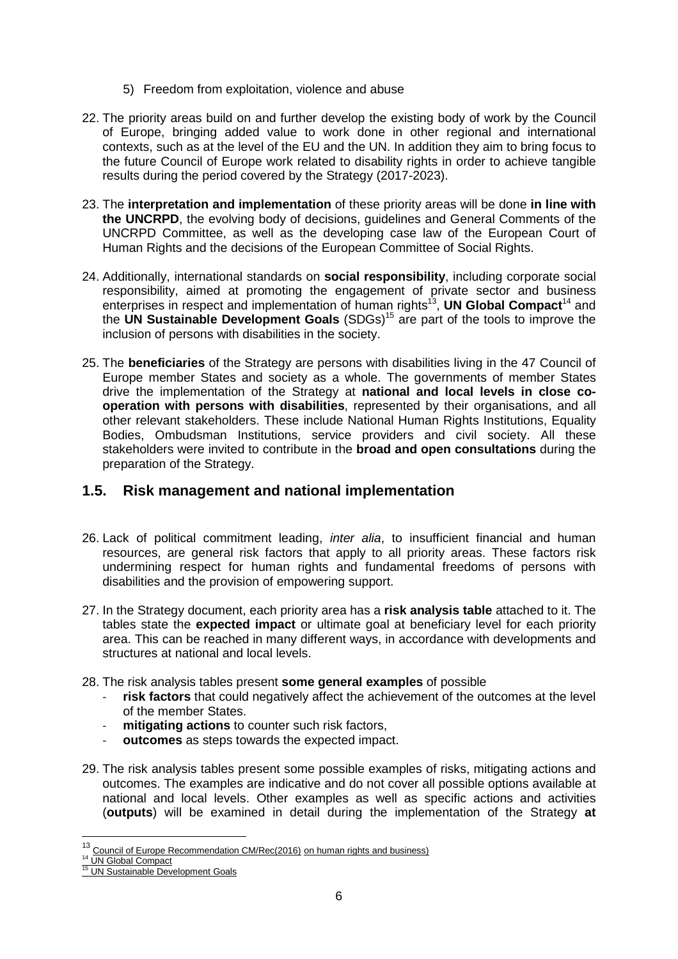- 5) Freedom from exploitation, violence and abuse
- 22. The priority areas build on and further develop the existing body of work by the Council of Europe, bringing added value to work done in other regional and international contexts, such as at the level of the EU and the UN. In addition they aim to bring focus to the future Council of Europe work related to disability rights in order to achieve tangible results during the period covered by the Strategy (2017-2023).
- 23. The **interpretation and implementation** of these priority areas will be done **in line with the UNCRPD**, the evolving body of decisions, guidelines and General Comments of the UNCRPD Committee, as well as the developing case law of the European Court of Human Rights and the decisions of the European Committee of Social Rights.
- 24. Additionally, international standards on **social responsibility**, including corporate social responsibility, aimed at promoting the engagement of private sector and business enterprises in respect and implementation of human rights<sup>13</sup>, **UN Global Compact**<sup>14</sup> and the **UN Sustainable Development Goals** (SDGs)<sup>15</sup> are part of the tools to improve the inclusion of persons with disabilities in the society.
- 25. The **beneficiaries** of the Strategy are persons with disabilities living in the 47 Council of Europe member States and society as a whole. The governments of member States drive the implementation of the Strategy at **national and local levels in close cooperation with persons with disabilities**, represented by their organisations, and all other relevant stakeholders. These include National Human Rights Institutions, Equality Bodies, Ombudsman Institutions, service providers and civil society. All these stakeholders were invited to contribute in the **broad and open consultations** during the preparation of the Strategy.

#### **1.5. Risk management and national implementation**

- 26. Lack of political commitment leading, *inter alia*, to insufficient financial and human resources, are general risk factors that apply to all priority areas. These factors risk undermining respect for human rights and fundamental freedoms of persons with disabilities and the provision of empowering support.
- 27. In the Strategy document, each priority area has a **risk analysis table** attached to it. The tables state the **expected impact** or ultimate goal at beneficiary level for each priority area. This can be reached in many different ways, in accordance with developments and structures at national and local levels.
- 28. The risk analysis tables present **some general examples** of possible
	- risk factors that could negatively affect the achievement of the outcomes at the level of the member States.
	- mitigating actions to counter such risk factors,
	- outcomes as steps towards the expected impact.
- 29. The risk analysis tables present some possible examples of risks, mitigating actions and outcomes. The examples are indicative and do not cover all possible options available at national and local levels. Other examples as well as specific actions and activities (**outputs**) will be examined in detail during the implementation of the Strategy **at**

 $\overline{a}$ 

<sup>&</sup>lt;sup>13</sup> Council of Europe Recommendation CM/Rec(2016) on human rights and business)

<sup>&</sup>lt;sup>14</sup> UN Global Compact

<sup>&</sup>lt;sup>15</sup> UN Sustainable Development Goals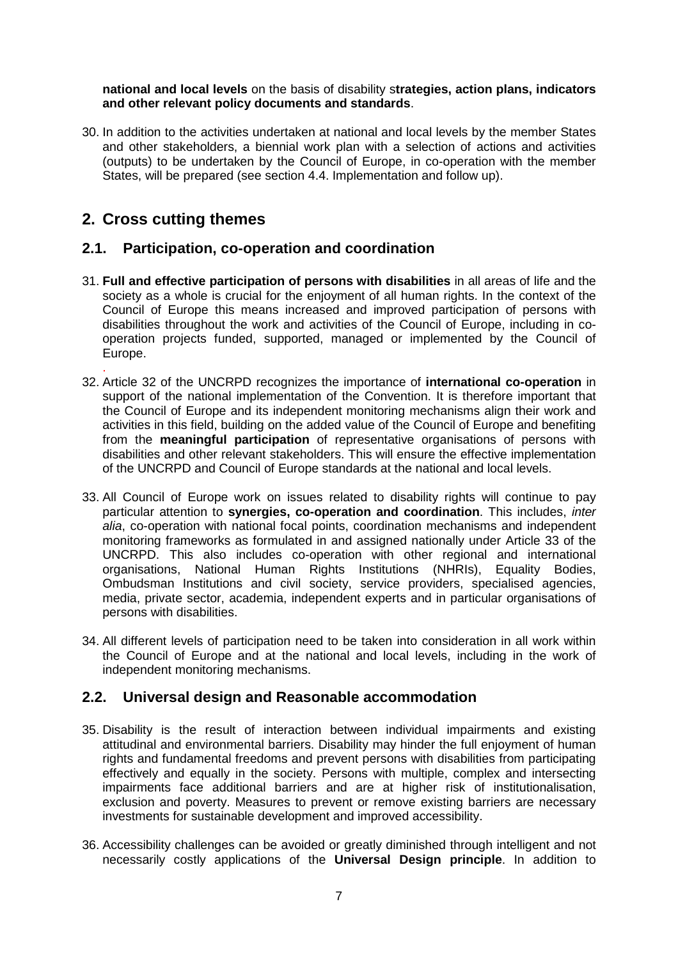**national and local levels** on the basis of disability s**trategies, action plans, indicators and other relevant policy documents and standards**.

30. In addition to the activities undertaken at national and local levels by the member States and other stakeholders, a biennial work plan with a selection of actions and activities (outputs) to be undertaken by the Council of Europe, in co-operation with the member States, will be prepared (see section 4.4. Implementation and follow up).

# **2. Cross cutting themes**

## **2.1. Participation, co-operation and coordination**

- 31. **Full and effective participation of persons with disabilities** in all areas of life and the society as a whole is crucial for the enjoyment of all human rights. In the context of the Council of Europe this means increased and improved participation of persons with disabilities throughout the work and activities of the Council of Europe, including in cooperation projects funded, supported, managed or implemented by the Council of Europe.
- . 32. Article 32 of the UNCRPD recognizes the importance of **international co-operation** in support of the national implementation of the Convention. It is therefore important that the Council of Europe and its independent monitoring mechanisms align their work and activities in this field, building on the added value of the Council of Europe and benefiting from the **meaningful participation** of representative organisations of persons with disabilities and other relevant stakeholders. This will ensure the effective implementation of the UNCRPD and Council of Europe standards at the national and local levels.
- 33. All Council of Europe work on issues related to disability rights will continue to pay particular attention to **synergies, co-operation and coordination**. This includes, inter alia, co-operation with national focal points, coordination mechanisms and independent monitoring frameworks as formulated in and assigned nationally under Article 33 of the UNCRPD. This also includes co-operation with other regional and international organisations, National Human Rights Institutions (NHRIs), Equality Bodies, Ombudsman Institutions and civil society, service providers, specialised agencies, media, private sector, academia, independent experts and in particular organisations of persons with disabilities.
- 34. All different levels of participation need to be taken into consideration in all work within the Council of Europe and at the national and local levels, including in the work of independent monitoring mechanisms.

## **2.2. Universal design and Reasonable accommodation**

- 35. Disability is the result of interaction between individual impairments and existing attitudinal and environmental barriers. Disability may hinder the full enjoyment of human rights and fundamental freedoms and prevent persons with disabilities from participating effectively and equally in the society. Persons with multiple, complex and intersecting impairments face additional barriers and are at higher risk of institutionalisation, exclusion and poverty. Measures to prevent or remove existing barriers are necessary investments for sustainable development and improved accessibility.
- 36. Accessibility challenges can be avoided or greatly diminished through intelligent and not necessarily costly applications of the **Universal Design principle**. In addition to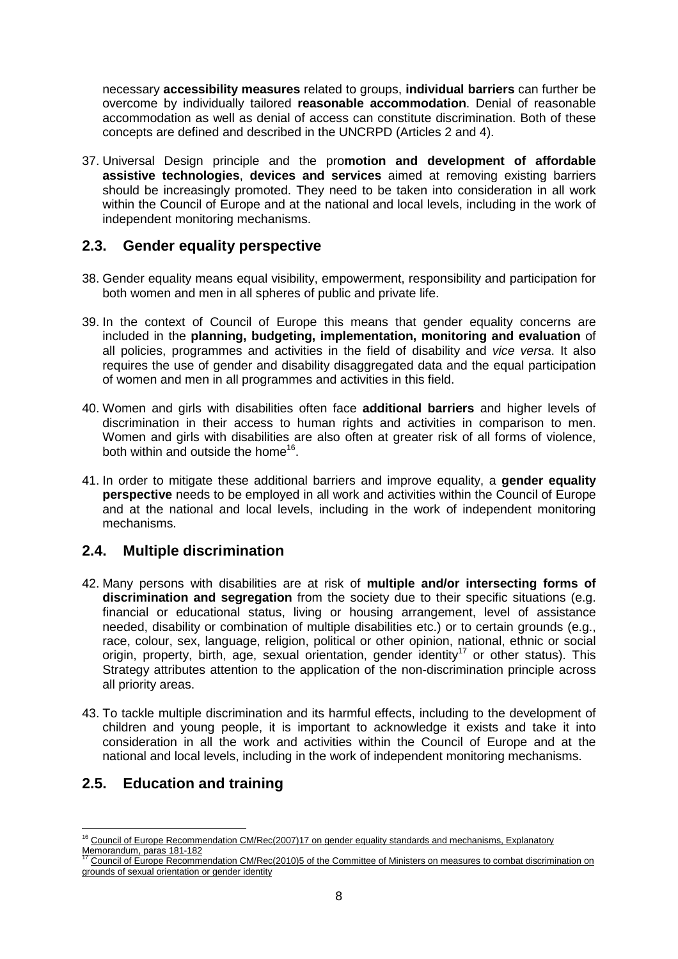necessary **accessibility measures** related to groups, **individual barriers** can further be overcome by individually tailored **reasonable accommodation**. Denial of reasonable accommodation as well as denial of access can constitute discrimination. Both of these concepts are defined and described in the UNCRPD (Articles 2 and 4).

37. Universal Design principle and the pro**motion and development of affordable assistive technologies**, **devices and services** aimed at removing existing barriers should be increasingly promoted. They need to be taken into consideration in all work within the Council of Europe and at the national and local levels, including in the work of independent monitoring mechanisms.

#### **2.3. Gender equality perspective**

- 38. Gender equality means equal visibility, empowerment, responsibility and participation for both women and men in all spheres of public and private life.
- 39. In the context of Council of Europe this means that gender equality concerns are included in the **planning, budgeting, implementation, monitoring and evaluation** of all policies, programmes and activities in the field of disability and vice versa. It also requires the use of gender and disability disaggregated data and the equal participation of women and men in all programmes and activities in this field.
- 40. Women and girls with disabilities often face **additional barriers** and higher levels of discrimination in their access to human rights and activities in comparison to men. Women and girls with disabilities are also often at greater risk of all forms of violence, both within and outside the home<sup>16</sup>.
- 41. In order to mitigate these additional barriers and improve equality, a **gender equality perspective** needs to be employed in all work and activities within the Council of Europe and at the national and local levels, including in the work of independent monitoring mechanisms.

## **2.4. Multiple discrimination**

- 42. Many persons with disabilities are at risk of **multiple and/or intersecting forms of discrimination and segregation** from the society due to their specific situations (e.g. financial or educational status, living or housing arrangement, level of assistance needed, disability or combination of multiple disabilities etc.) or to certain grounds (e.g., race, colour, sex, language, religion, political or other opinion, national, ethnic or social origin, property, birth, age, sexual orientation, gender identity<sup>17</sup> or other status). This Strategy attributes attention to the application of the non-discrimination principle across all priority areas.
- 43. To tackle multiple discrimination and its harmful effects, including to the development of children and young people, it is important to acknowledge it exists and take it into consideration in all the work and activities within the Council of Europe and at the national and local levels, including in the work of independent monitoring mechanisms.

## **2.5. Education and training**

 $\overline{a}$ <sup>16</sup> Council of Europe Recommendation CM/Rec(2007)17 on gender equality standards and mechanisms, Explanatory Memorandum, paras 181-182

<sup>17</sup> Council of Europe Recommendation CM/Rec(2010)5 of the Committee of Ministers on measures to combat discrimination on grounds of sexual orientation or gender identity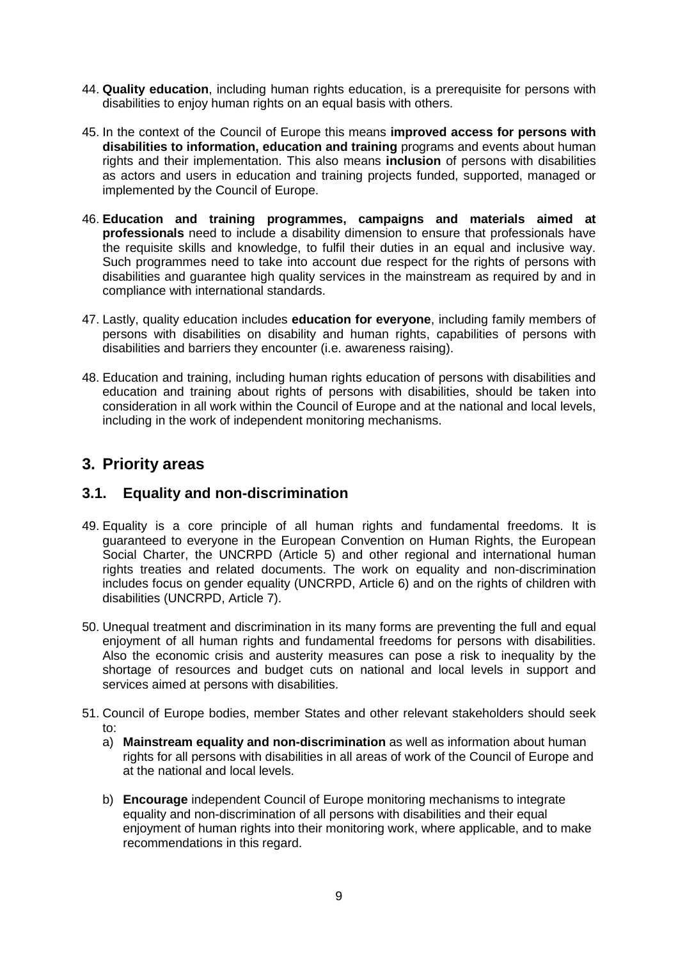- 44. **Quality education**, including human rights education, is a prerequisite for persons with disabilities to enjoy human rights on an equal basis with others.
- 45. In the context of the Council of Europe this means **improved access for persons with disabilities to information, education and training** programs and events about human rights and their implementation. This also means **inclusion** of persons with disabilities as actors and users in education and training projects funded, supported, managed or implemented by the Council of Europe.
- 46. **Education and training programmes, campaigns and materials aimed at professionals** need to include a disability dimension to ensure that professionals have the requisite skills and knowledge, to fulfil their duties in an equal and inclusive way. Such programmes need to take into account due respect for the rights of persons with disabilities and guarantee high quality services in the mainstream as required by and in compliance with international standards.
- 47. Lastly, quality education includes **education for everyone**, including family members of persons with disabilities on disability and human rights, capabilities of persons with disabilities and barriers they encounter (i.e. awareness raising).
- 48. Education and training, including human rights education of persons with disabilities and education and training about rights of persons with disabilities, should be taken into consideration in all work within the Council of Europe and at the national and local levels, including in the work of independent monitoring mechanisms.

# **3. Priority areas**

## **3.1. Equality and non-discrimination**

- 49. Equality is a core principle of all human rights and fundamental freedoms. It is guaranteed to everyone in the European Convention on Human Rights, the European Social Charter, the UNCRPD (Article 5) and other regional and international human rights treaties and related documents. The work on equality and non-discrimination includes focus on gender equality (UNCRPD, Article 6) and on the rights of children with disabilities (UNCRPD, Article 7).
- 50. Unequal treatment and discrimination in its many forms are preventing the full and equal enjoyment of all human rights and fundamental freedoms for persons with disabilities. Also the economic crisis and austerity measures can pose a risk to inequality by the shortage of resources and budget cuts on national and local levels in support and services aimed at persons with disabilities.
- 51. Council of Europe bodies, member States and other relevant stakeholders should seek to:
	- a) **Mainstream equality and non-discrimination** as well as information about human rights for all persons with disabilities in all areas of work of the Council of Europe and at the national and local levels.
	- b) **Encourage** independent Council of Europe monitoring mechanisms to integrate equality and non-discrimination of all persons with disabilities and their equal enjoyment of human rights into their monitoring work, where applicable, and to make recommendations in this regard.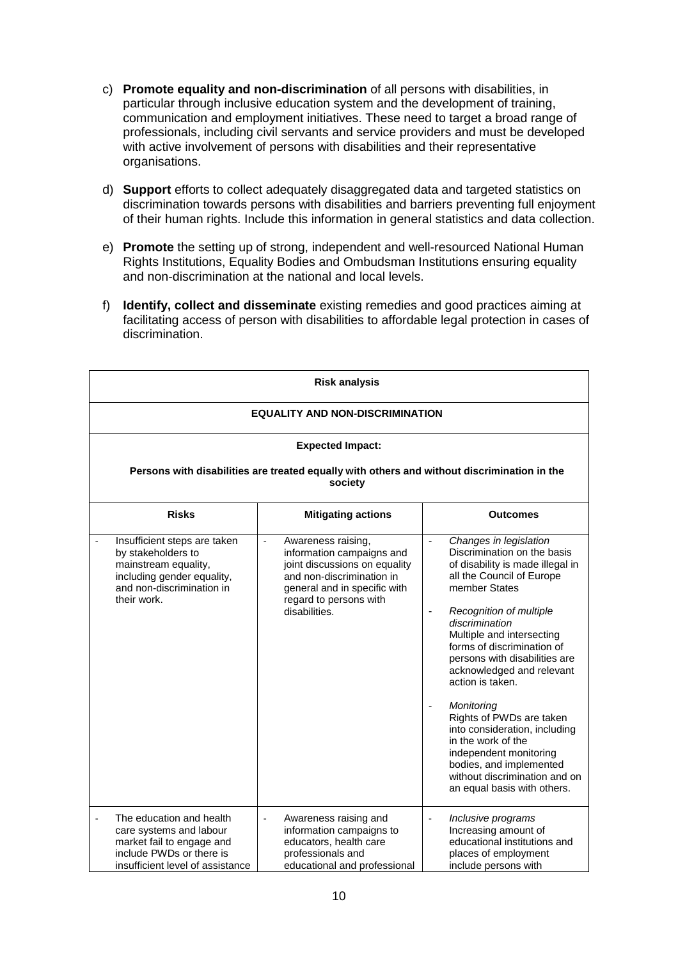- c) **Promote equality and non-discrimination** of all persons with disabilities, in particular through inclusive education system and the development of training, communication and employment initiatives. These need to target a broad range of professionals, including civil servants and service providers and must be developed with active involvement of persons with disabilities and their representative organisations.
- d) **Support** efforts to collect adequately disaggregated data and targeted statistics on discrimination towards persons with disabilities and barriers preventing full enjoyment of their human rights. Include this information in general statistics and data collection.
- e) **Promote** the setting up of strong, independent and well-resourced National Human Rights Institutions, Equality Bodies and Ombudsman Institutions ensuring equality and non-discrimination at the national and local levels.
- f) **Identify, collect and disseminate** existing remedies and good practices aiming at facilitating access of person with disabilities to affordable legal protection in cases of discrimination.

| <b>Risk analysis</b>                                                                                                                                                        |                                                                                                                                                                                                |                                                                                                                                                                                                                                                                                                                                                                                                                                                                                                                                                                           |  |
|-----------------------------------------------------------------------------------------------------------------------------------------------------------------------------|------------------------------------------------------------------------------------------------------------------------------------------------------------------------------------------------|---------------------------------------------------------------------------------------------------------------------------------------------------------------------------------------------------------------------------------------------------------------------------------------------------------------------------------------------------------------------------------------------------------------------------------------------------------------------------------------------------------------------------------------------------------------------------|--|
| <b>EQUALITY AND NON-DISCRIMINATION</b><br><b>Expected Impact:</b><br>Persons with disabilities are treated equally with others and without discrimination in the<br>society |                                                                                                                                                                                                |                                                                                                                                                                                                                                                                                                                                                                                                                                                                                                                                                                           |  |
|                                                                                                                                                                             |                                                                                                                                                                                                |                                                                                                                                                                                                                                                                                                                                                                                                                                                                                                                                                                           |  |
| Insufficient steps are taken<br>by stakeholders to<br>mainstream equality,<br>including gender equality,<br>and non-discrimination in<br>their work.                        | Awareness raising,<br>ä,<br>information campaigns and<br>joint discussions on equality<br>and non-discrimination in<br>general and in specific with<br>regard to persons with<br>disabilities. | Changes in legislation<br>$\blacksquare$<br>Discrimination on the basis<br>of disability is made illegal in<br>all the Council of Europe<br>member States<br>Recognition of multiple<br>discrimination<br>Multiple and intersecting<br>forms of discrimination of<br>persons with disabilities are<br>acknowledged and relevant<br>action is taken.<br>Monitoring<br>Rights of PWDs are taken<br>into consideration, including<br>in the work of the<br>independent monitoring<br>bodies, and implemented<br>without discrimination and on<br>an equal basis with others. |  |
| The education and health<br>care systems and labour<br>market fail to engage and<br>include PWDs or there is<br>insufficient level of assistance                            | Awareness raising and<br>ä,<br>information campaigns to<br>educators, health care<br>professionals and<br>educational and professional                                                         | Inclusive programs<br>$\overline{\phantom{a}}$<br>Increasing amount of<br>educational institutions and<br>places of employment<br>include persons with                                                                                                                                                                                                                                                                                                                                                                                                                    |  |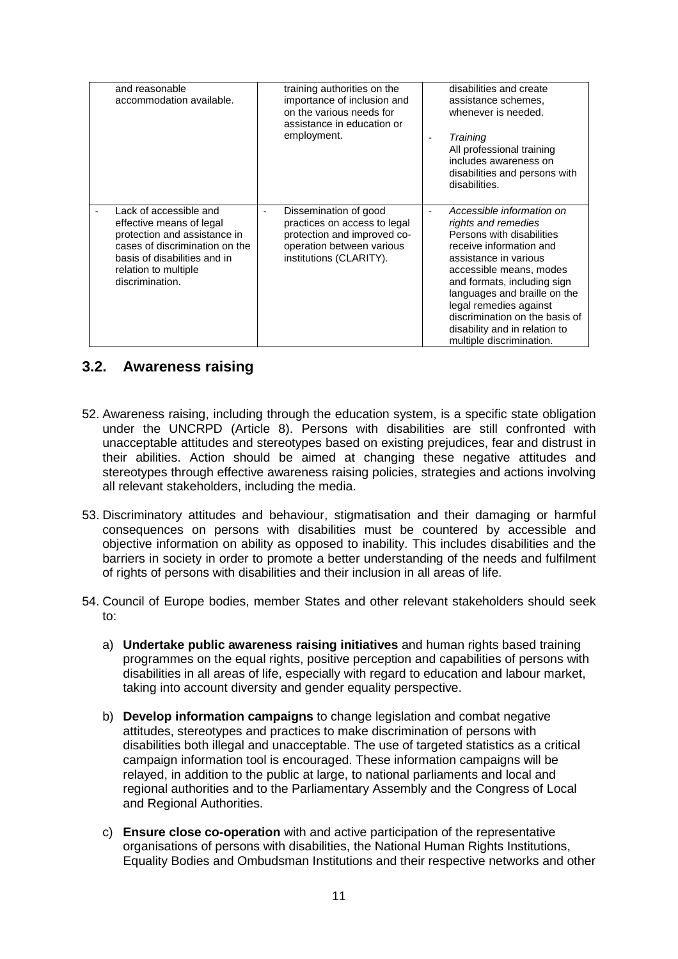| and reasonable<br>accommodation available.                                                                                                                                                      | training authorities on the<br>importance of inclusion and<br>on the various needs for<br>assistance in education or<br>employment.                            | disabilities and create<br>assistance schemes,<br>whenever is needed.<br>Training<br>All professional training<br>includes awareness on<br>disabilities and persons with<br>disabilities.                                                                                                                                                            |
|-------------------------------------------------------------------------------------------------------------------------------------------------------------------------------------------------|----------------------------------------------------------------------------------------------------------------------------------------------------------------|------------------------------------------------------------------------------------------------------------------------------------------------------------------------------------------------------------------------------------------------------------------------------------------------------------------------------------------------------|
| Lack of accessible and<br>effective means of legal<br>protection and assistance in<br>cases of discrimination on the<br>basis of disabilities and in<br>relation to multiple<br>discrimination. | Dissemination of good<br>$\overline{a}$<br>practices on access to legal<br>protection and improved co-<br>operation between various<br>institutions (CLARITY). | Accessible information on<br>rights and remedies<br>Persons with disabilities<br>receive information and<br>assistance in various<br>accessible means, modes<br>and formats, including sign<br>languages and braille on the<br>legal remedies against<br>discrimination on the basis of<br>disability and in relation to<br>multiple discrimination. |

#### **3.2. Awareness raising**

- 52. Awareness raising, including through the education system, is a specific state obligation under the UNCRPD (Article 8). Persons with disabilities are still confronted with unacceptable attitudes and stereotypes based on existing prejudices, fear and distrust in their abilities. Action should be aimed at changing these negative attitudes and stereotypes through effective awareness raising policies, strategies and actions involving all relevant stakeholders, including the media.
- 53. Discriminatory attitudes and behaviour, stigmatisation and their damaging or harmful consequences on persons with disabilities must be countered by accessible and objective information on ability as opposed to inability. This includes disabilities and the barriers in society in order to promote a better understanding of the needs and fulfilment of rights of persons with disabilities and their inclusion in all areas of life.
- 54. Council of Europe bodies, member States and other relevant stakeholders should seek to:
	- a) **Undertake public awareness raising initiatives** and human rights based training programmes on the equal rights, positive perception and capabilities of persons with disabilities in all areas of life, especially with regard to education and labour market, taking into account diversity and gender equality perspective.
	- b) **Develop information campaigns** to change legislation and combat negative attitudes, stereotypes and practices to make discrimination of persons with disabilities both illegal and unacceptable. The use of targeted statistics as a critical campaign information tool is encouraged. These information campaigns will be relayed, in addition to the public at large, to national parliaments and local and regional authorities and to the Parliamentary Assembly and the Congress of Local and Regional Authorities.
	- c) **Ensure close co-operation** with and active participation of the representative organisations of persons with disabilities, the National Human Rights Institutions, Equality Bodies and Ombudsman Institutions and their respective networks and other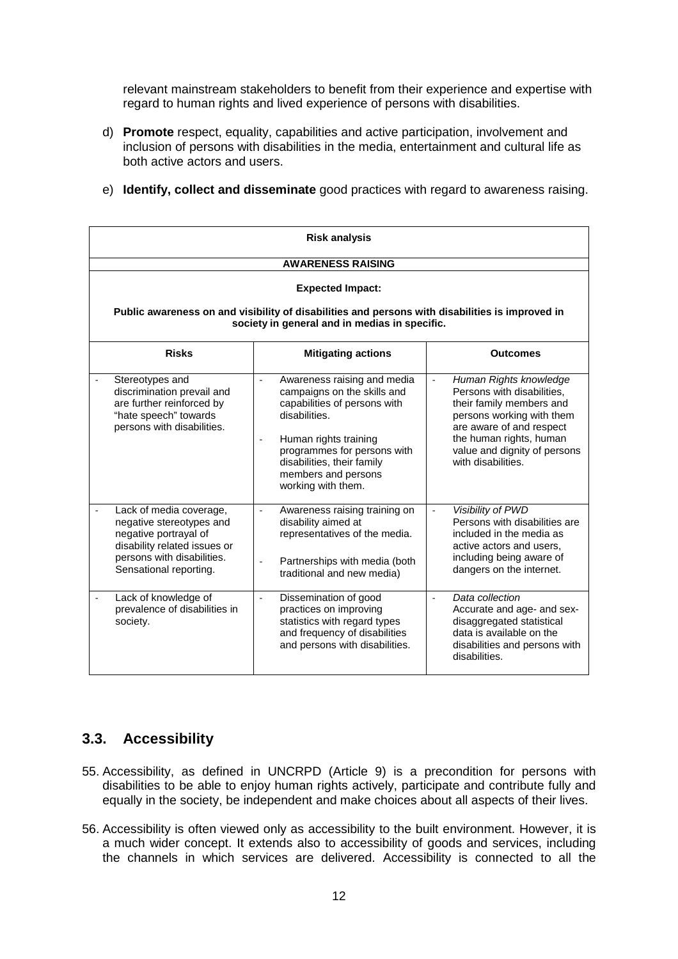relevant mainstream stakeholders to benefit from their experience and expertise with regard to human rights and lived experience of persons with disabilities.

- d) **Promote** respect, equality, capabilities and active participation, involvement and inclusion of persons with disabilities in the media, entertainment and cultural life as both active actors and users.
- e) **Identify, collect and disseminate** good practices with regard to awareness raising.

| <b>Risk analysis</b>                                                                                                                                                 |                                                                                                                                                                                                                                                                            |                                                                                                                                                                                                                                      |  |  |
|----------------------------------------------------------------------------------------------------------------------------------------------------------------------|----------------------------------------------------------------------------------------------------------------------------------------------------------------------------------------------------------------------------------------------------------------------------|--------------------------------------------------------------------------------------------------------------------------------------------------------------------------------------------------------------------------------------|--|--|
|                                                                                                                                                                      | <b>AWARENESS RAISING</b>                                                                                                                                                                                                                                                   |                                                                                                                                                                                                                                      |  |  |
| <b>Expected Impact:</b><br>Public awareness on and visibility of disabilities and persons with disabilities is improved in                                           |                                                                                                                                                                                                                                                                            |                                                                                                                                                                                                                                      |  |  |
|                                                                                                                                                                      | society in general and in medias in specific.                                                                                                                                                                                                                              |                                                                                                                                                                                                                                      |  |  |
| <b>Risks</b>                                                                                                                                                         | <b>Mitigating actions</b>                                                                                                                                                                                                                                                  | <b>Outcomes</b>                                                                                                                                                                                                                      |  |  |
| Stereotypes and<br>discrimination prevail and<br>are further reinforced by<br>"hate speech" towards<br>persons with disabilities.                                    | Awareness raising and media<br>$\blacksquare$<br>campaigns on the skills and<br>capabilities of persons with<br>disabilities.<br>Human rights training<br>$\sim$<br>programmes for persons with<br>disabilities, their family<br>members and persons<br>working with them. | Human Rights knowledge<br>$\Box$<br>Persons with disabilities.<br>their family members and<br>persons working with them<br>are aware of and respect<br>the human rights, human<br>value and dignity of persons<br>with disabilities. |  |  |
| Lack of media coverage,<br>negative stereotypes and<br>negative portrayal of<br>disability related issues or<br>persons with disabilities.<br>Sensational reporting. | Awareness raising training on<br>$\overline{\phantom{a}}$<br>disability aimed at<br>representatives of the media.<br>Partnerships with media (both<br>traditional and new media)                                                                                           | Visibility of PWD<br>$\overline{\phantom{a}}$<br>Persons with disabilities are<br>included in the media as<br>active actors and users,<br>including being aware of<br>dangers on the internet.                                       |  |  |
| Lack of knowledge of<br>prevalence of disabilities in<br>society.                                                                                                    | Dissemination of good<br>$\overline{\phantom{a}}$<br>practices on improving<br>statistics with regard types<br>and frequency of disabilities<br>and persons with disabilities.                                                                                             | Data collection<br>$\overline{a}$<br>Accurate and age- and sex-<br>disaggregated statistical<br>data is available on the<br>disabilities and persons with<br>disabilities.                                                           |  |  |

## **3.3. Accessibility**

- 55. Accessibility, as defined in UNCRPD (Article 9) is a precondition for persons with disabilities to be able to enjoy human rights actively, participate and contribute fully and equally in the society, be independent and make choices about all aspects of their lives.
- 56. Accessibility is often viewed only as accessibility to the built environment. However, it is a much wider concept. It extends also to accessibility of goods and services, including the channels in which services are delivered. Accessibility is connected to all the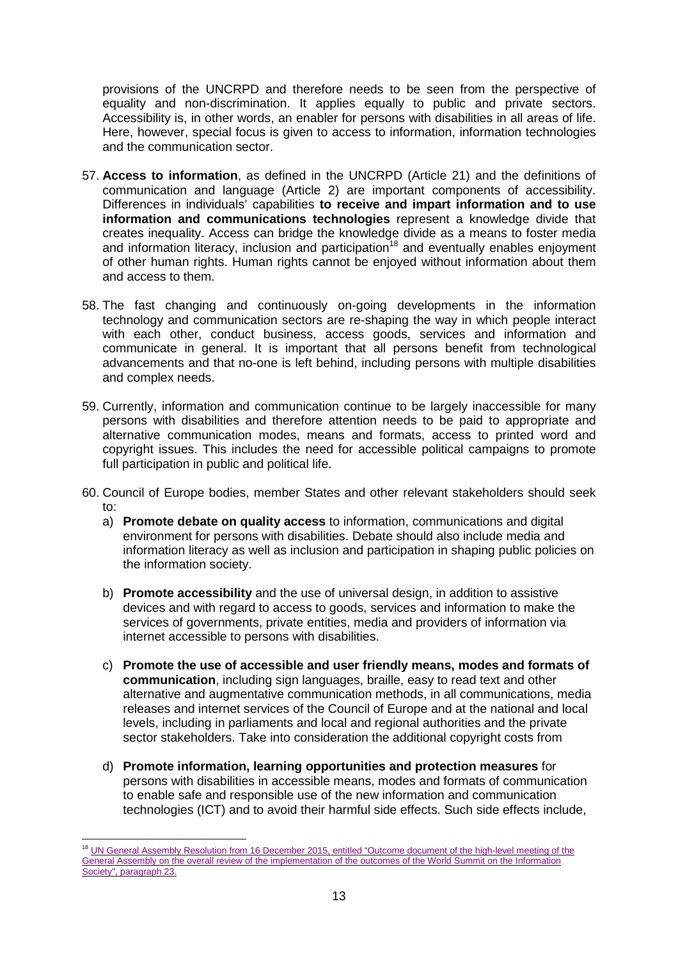provisions of the UNCRPD and therefore needs to be seen from the perspective of equality and non-discrimination. It applies equally to public and private sectors. Accessibility is, in other words, an enabler for persons with disabilities in all areas of life. Here, however, special focus is given to access to information, information technologies and the communication sector.

- 57. **Access to information**, as defined in the UNCRPD (Article 21) and the definitions of communication and language (Article 2) are important components of accessibility. Differences in individuals' capabilities **to receive and impart information and to use information and communications technologies** represent a knowledge divide that creates inequality. Access can bridge the knowledge divide as a means to foster media and information literacy, inclusion and participation<sup>18</sup> and eventually enables enjoyment of other human rights. Human rights cannot be enjoyed without information about them and access to them.
- 58. The fast changing and continuously on-going developments in the information technology and communication sectors are re-shaping the way in which people interact with each other, conduct business, access goods, services and information and communicate in general. It is important that all persons benefit from technological advancements and that no-one is left behind, including persons with multiple disabilities and complex needs.
- 59. Currently, information and communication continue to be largely inaccessible for many persons with disabilities and therefore attention needs to be paid to appropriate and alternative communication modes, means and formats, access to printed word and copyright issues. This includes the need for accessible political campaigns to promote full participation in public and political life.
- 60. Council of Europe bodies, member States and other relevant stakeholders should seek to:
	- a) **Promote debate on quality access** to information, communications and digital environment for persons with disabilities. Debate should also include media and information literacy as well as inclusion and participation in shaping public policies on the information society.
	- b) **Promote accessibility** and the use of universal design, in addition to assistive devices and with regard to access to goods, services and information to make the services of governments, private entities, media and providers of information via internet accessible to persons with disabilities.
	- c) **Promote the use of accessible and user friendly means, modes and formats of communication**, including sign languages, braille, easy to read text and other alternative and augmentative communication methods, in all communications, media releases and internet services of the Council of Europe and at the national and local levels, including in parliaments and local and regional authorities and the private sector stakeholders. Take into consideration the additional copyright costs from
	- d) **Promote information, learning opportunities and protection measures** for persons with disabilities in accessible means, modes and formats of communication to enable safe and responsible use of the new information and communication technologies (ICT) and to avoid their harmful side effects. Such side effects include,

 $\overline{a}$ <sup>18</sup> UN General Assembly Resolution from 16 December 2015, entitled "Outcome document of the high-level meeting of the General Assembly on the overall review of the implementation of the outcomes of the World Summit on the Information Society", paragraph 23.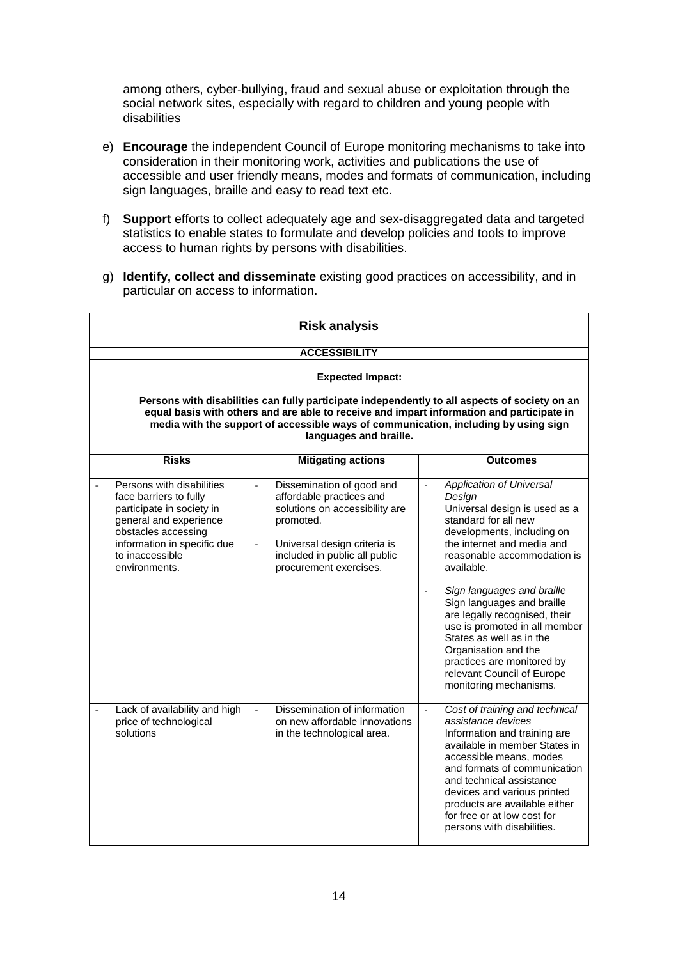among others, cyber-bullying, fraud and sexual abuse or exploitation through the social network sites, especially with regard to children and young people with disabilities

- e) **Encourage** the independent Council of Europe monitoring mechanisms to take into consideration in their monitoring work, activities and publications the use of accessible and user friendly means, modes and formats of communication, including sign languages, braille and easy to read text etc.
- f) **Support** efforts to collect adequately age and sex-disaggregated data and targeted statistics to enable states to formulate and develop policies and tools to improve access to human rights by persons with disabilities.
- g) **Identify, collect and disseminate** existing good practices on accessibility, and in particular on access to information.

| <b>Risk analysis</b>                                                                                                                                                                                                                                                                                        |                                                                                                                                                                                                                                                         |                                                                                                                                                                                                                                                                                                                                                                                                                                                                                                          |  |
|-------------------------------------------------------------------------------------------------------------------------------------------------------------------------------------------------------------------------------------------------------------------------------------------------------------|---------------------------------------------------------------------------------------------------------------------------------------------------------------------------------------------------------------------------------------------------------|----------------------------------------------------------------------------------------------------------------------------------------------------------------------------------------------------------------------------------------------------------------------------------------------------------------------------------------------------------------------------------------------------------------------------------------------------------------------------------------------------------|--|
|                                                                                                                                                                                                                                                                                                             | <b>ACCESSIBILITY</b>                                                                                                                                                                                                                                    |                                                                                                                                                                                                                                                                                                                                                                                                                                                                                                          |  |
|                                                                                                                                                                                                                                                                                                             | <b>Expected Impact:</b>                                                                                                                                                                                                                                 |                                                                                                                                                                                                                                                                                                                                                                                                                                                                                                          |  |
| Persons with disabilities can fully participate independently to all aspects of society on an<br>equal basis with others and are able to receive and impart information and participate in<br>media with the support of accessible ways of communication, including by using sign<br>languages and braille. |                                                                                                                                                                                                                                                         |                                                                                                                                                                                                                                                                                                                                                                                                                                                                                                          |  |
| <b>Risks</b>                                                                                                                                                                                                                                                                                                | <b>Mitigating actions</b>                                                                                                                                                                                                                               | <b>Outcomes</b>                                                                                                                                                                                                                                                                                                                                                                                                                                                                                          |  |
| Persons with disabilities<br>face barriers to fully<br>participate in society in<br>general and experience<br>obstacles accessing<br>information in specific due<br>to inaccessible<br>environments.                                                                                                        | Dissemination of good and<br>$\overline{\phantom{a}}$<br>affordable practices and<br>solutions on accessibility are<br>promoted.<br>Universal design criteria is<br>$\overline{\phantom{a}}$<br>included in public all public<br>procurement exercises. | Application of Universal<br>$\overline{\phantom{a}}$<br>Design<br>Universal design is used as a<br>standard for all new<br>developments, including on<br>the internet and media and<br>reasonable accommodation is<br>available.<br>Sign languages and braille<br>Sign languages and braille<br>are legally recognised, their<br>use is promoted in all member<br>States as well as in the<br>Organisation and the<br>practices are monitored by<br>relevant Council of Europe<br>monitoring mechanisms. |  |
| Lack of availability and high<br>price of technological<br>solutions                                                                                                                                                                                                                                        | Dissemination of information<br>on new affordable innovations<br>in the technological area.                                                                                                                                                             | ÷.<br>Cost of training and technical<br>assistance devices<br>Information and training are<br>available in member States in<br>accessible means, modes<br>and formats of communication<br>and technical assistance<br>devices and various printed<br>products are available either<br>for free or at low cost for<br>persons with disabilities.                                                                                                                                                          |  |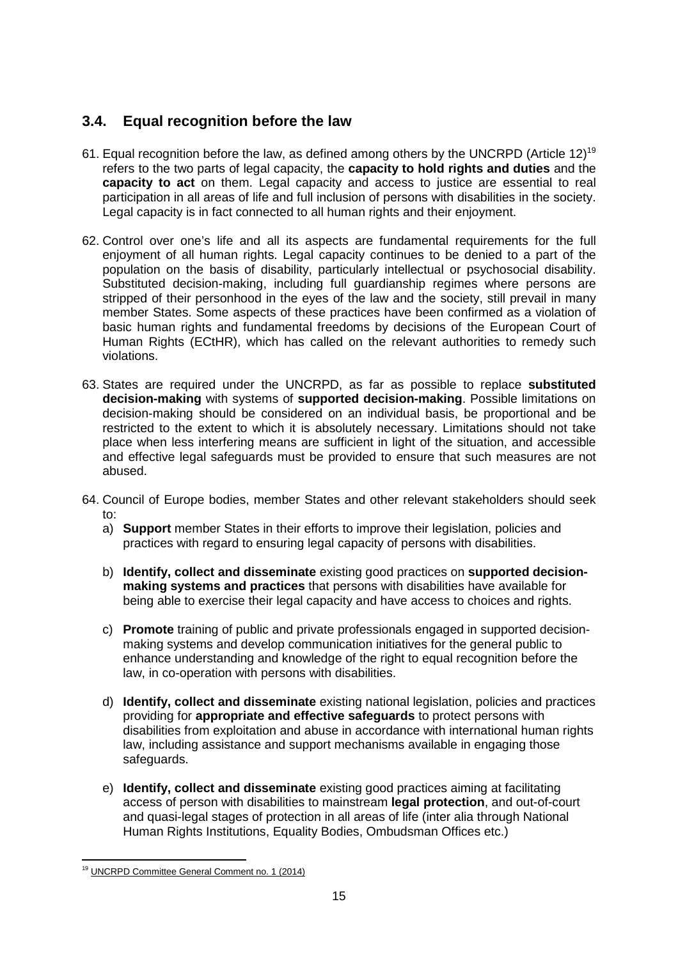## **3.4. Equal recognition before the law**

- 61. Equal recognition before the law, as defined among others by the UNCRPD (Article 12)<sup>19</sup> refers to the two parts of legal capacity, the **capacity to hold rights and duties** and the **capacity to act** on them. Legal capacity and access to justice are essential to real participation in all areas of life and full inclusion of persons with disabilities in the society. Legal capacity is in fact connected to all human rights and their enjoyment.
- 62. Control over one's life and all its aspects are fundamental requirements for the full enjoyment of all human rights. Legal capacity continues to be denied to a part of the population on the basis of disability, particularly intellectual or psychosocial disability. Substituted decision-making, including full guardianship regimes where persons are stripped of their personhood in the eyes of the law and the society, still prevail in many member States. Some aspects of these practices have been confirmed as a violation of basic human rights and fundamental freedoms by decisions of the European Court of Human Rights (ECtHR), which has called on the relevant authorities to remedy such violations.
- 63. States are required under the UNCRPD, as far as possible to replace **substituted decision-making** with systems of **supported decision-making**. Possible limitations on decision-making should be considered on an individual basis, be proportional and be restricted to the extent to which it is absolutely necessary. Limitations should not take place when less interfering means are sufficient in light of the situation, and accessible and effective legal safeguards must be provided to ensure that such measures are not abused.
- 64. Council of Europe bodies, member States and other relevant stakeholders should seek to:
	- a) **Support** member States in their efforts to improve their legislation, policies and practices with regard to ensuring legal capacity of persons with disabilities.
	- b) **Identify, collect and disseminate** existing good practices on **supported decisionmaking systems and practices** that persons with disabilities have available for being able to exercise their legal capacity and have access to choices and rights.
	- c) **Promote** training of public and private professionals engaged in supported decisionmaking systems and develop communication initiatives for the general public to enhance understanding and knowledge of the right to equal recognition before the law, in co-operation with persons with disabilities.
	- d) **Identify, collect and disseminate** existing national legislation, policies and practices providing for **appropriate and effective safeguards** to protect persons with disabilities from exploitation and abuse in accordance with international human rights law, including assistance and support mechanisms available in engaging those safeguards.
	- e) **Identify, collect and disseminate** existing good practices aiming at facilitating access of person with disabilities to mainstream **legal protection**, and out-of-court and quasi-legal stages of protection in all areas of life (inter alia through National Human Rights Institutions, Equality Bodies, Ombudsman Offices etc.)

 $\overline{a}$ <sup>19</sup> UNCRPD Committee General Comment no. 1 (2014)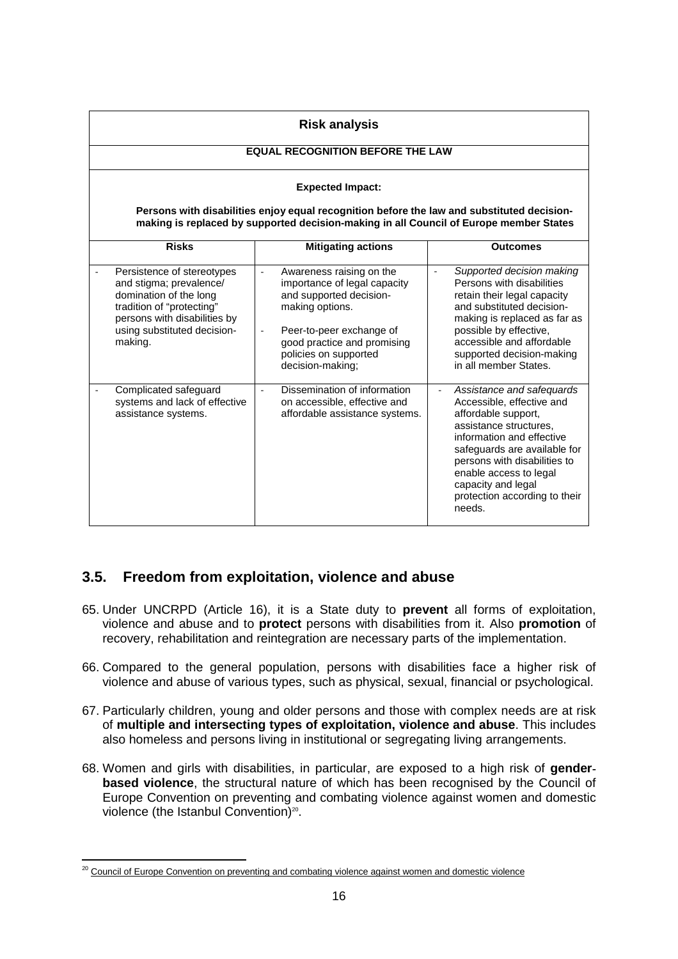| <b>Risk analysis</b>                                                                                                                                                                   |                                                                                                                                                                                                                                            |                                                                                                                                                                                                                                                                                                       |  |
|----------------------------------------------------------------------------------------------------------------------------------------------------------------------------------------|--------------------------------------------------------------------------------------------------------------------------------------------------------------------------------------------------------------------------------------------|-------------------------------------------------------------------------------------------------------------------------------------------------------------------------------------------------------------------------------------------------------------------------------------------------------|--|
| <b>EQUAL RECOGNITION BEFORE THE LAW</b>                                                                                                                                                |                                                                                                                                                                                                                                            |                                                                                                                                                                                                                                                                                                       |  |
| <b>Expected Impact:</b>                                                                                                                                                                |                                                                                                                                                                                                                                            |                                                                                                                                                                                                                                                                                                       |  |
| Persons with disabilities enjoy equal recognition before the law and substituted decision-<br>making is replaced by supported decision-making in all Council of Europe member States   |                                                                                                                                                                                                                                            |                                                                                                                                                                                                                                                                                                       |  |
| <b>Risks</b>                                                                                                                                                                           | <b>Mitigating actions</b>                                                                                                                                                                                                                  | <b>Outcomes</b>                                                                                                                                                                                                                                                                                       |  |
| Persistence of stereotypes<br>and stigma; prevalence/<br>domination of the long<br>tradition of "protecting"<br>persons with disabilities by<br>using substituted decision-<br>making. | Awareness raising on the<br>$\overline{\phantom{a}}$<br>importance of legal capacity<br>and supported decision-<br>making options.<br>Peer-to-peer exchange of<br>good practice and promising<br>policies on supported<br>decision-making; | Supported decision making<br>$\overline{\phantom{a}}$<br>Persons with disabilities<br>retain their legal capacity<br>and substituted decision-<br>making is replaced as far as<br>possible by effective,<br>accessible and affordable<br>supported decision-making<br>in all member States.           |  |
| Complicated safeguard<br>systems and lack of effective<br>assistance systems.                                                                                                          | Dissemination of information<br>on accessible, effective and<br>affordable assistance systems.                                                                                                                                             | Assistance and safequards<br>÷,<br>Accessible, effective and<br>affordable support,<br>assistance structures,<br>information and effective<br>safeguards are available for<br>persons with disabilities to<br>enable access to legal<br>capacity and legal<br>protection according to their<br>needs. |  |

## **3.5. Freedom from exploitation, violence and abuse**

- 65. Under UNCRPD (Article 16), it is a State duty to **prevent** all forms of exploitation, violence and abuse and to **protect** persons with disabilities from it. Also **promotion** of recovery, rehabilitation and reintegration are necessary parts of the implementation.
- 66. Compared to the general population, persons with disabilities face a higher risk of violence and abuse of various types, such as physical, sexual, financial or psychological.
- 67. Particularly children, young and older persons and those with complex needs are at risk of **multiple and intersecting types of exploitation, violence and abuse**. This includes also homeless and persons living in institutional or segregating living arrangements.
- 68. Women and girls with disabilities, in particular, are exposed to a high risk of **gender**‐ **based violence**, the structural nature of which has been recognised by the Council of Europe Convention on preventing and combating violence against women and domestic violence (the Istanbul Convention)<sup>20</sup>.

 $\overline{a}$ <sup>20</sup> Council of Europe Convention on preventing and combating violence against women and domestic violence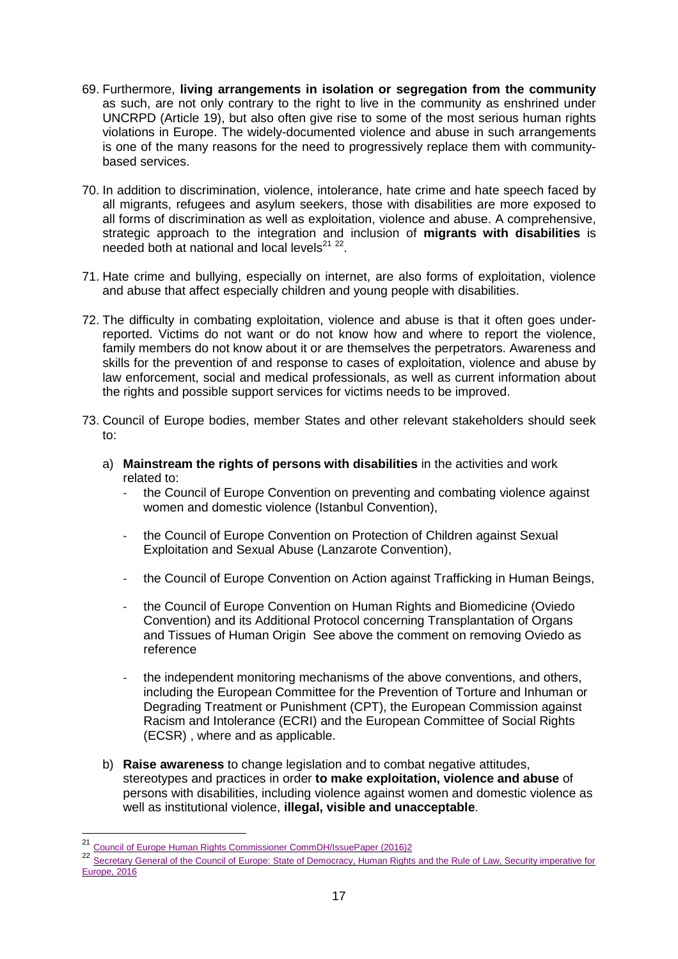- 69. Furthermore, **living arrangements in isolation or segregation from the community** as such, are not only contrary to the right to live in the community as enshrined under UNCRPD (Article 19), but also often give rise to some of the most serious human rights violations in Europe. The widely-documented violence and abuse in such arrangements is one of the many reasons for the need to progressively replace them with communitybased services.
- 70. In addition to discrimination, violence, intolerance, hate crime and hate speech faced by all migrants, refugees and asylum seekers, those with disabilities are more exposed to all forms of discrimination as well as exploitation, violence and abuse. A comprehensive, strategic approach to the integration and inclusion of **migrants with disabilities** is needed both at national and local levels<sup>21</sup><sup>22</sup>.
- 71. Hate crime and bullying, especially on internet, are also forms of exploitation, violence and abuse that affect especially children and young people with disabilities.
- 72. The difficulty in combating exploitation, violence and abuse is that it often goes underreported. Victims do not want or do not know how and where to report the violence, family members do not know about it or are themselves the perpetrators. Awareness and skills for the prevention of and response to cases of exploitation, violence and abuse by law enforcement, social and medical professionals, as well as current information about the rights and possible support services for victims needs to be improved.
- 73. Council of Europe bodies, member States and other relevant stakeholders should seek to:
	- a) **Mainstream the rights of persons with disabilities** in the activities and work related to:
		- the Council of Europe Convention on preventing and combating violence against women and domestic violence (Istanbul Convention),
		- the Council of Europe Convention on Protection of Children against Sexual Exploitation and Sexual Abuse (Lanzarote Convention),
		- the Council of Europe Convention on Action against Trafficking in Human Beings,
		- the Council of Europe Convention on Human Rights and Biomedicine (Oviedo Convention) and its Additional Protocol concerning Transplantation of Organs and Tissues of Human Origin See above the comment on removing Oviedo as reference
		- the independent monitoring mechanisms of the above conventions, and others, including the European Committee for the Prevention of Torture and Inhuman or Degrading Treatment or Punishment (CPT), the European Commission against Racism and Intolerance (ECRI) and the European Committee of Social Rights (ECSR) , where and as applicable.
	- b) **Raise awareness** to change legislation and to combat negative attitudes, stereotypes and practices in order **to make exploitation, violence and abuse** of persons with disabilities, including violence against women and domestic violence as well as institutional violence, **illegal, visible and unacceptable**.

 $\overline{\phantom{a}}$ 

<sup>21</sup> Council of Europe Human Rights Commissioner CommDH/IssuePaper (2016)2

<sup>22</sup> Secretary General of the Council of Europe: State of Democracy, Human Rights and the Rule of Law, Security imperative for Europe, 2016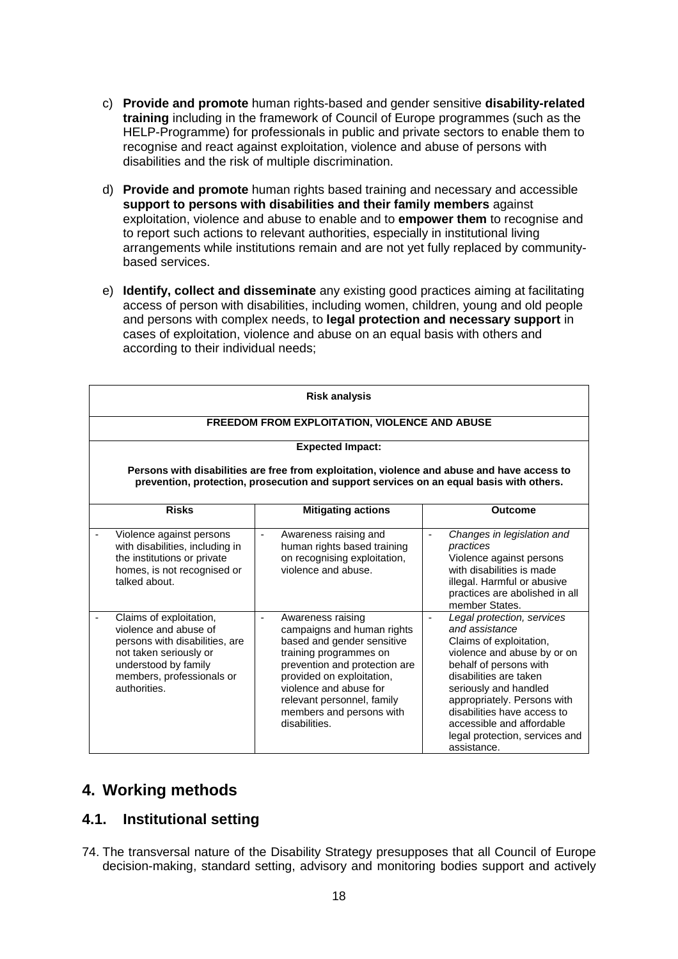- c) **Provide and promote** human rights-based and gender sensitive **disability-related training** including in the framework of Council of Europe programmes (such as the HELP-Programme) for professionals in public and private sectors to enable them to recognise and react against exploitation, violence and abuse of persons with disabilities and the risk of multiple discrimination.
- d) **Provide and promote** human rights based training and necessary and accessible **support to persons with disabilities and their family members** against exploitation, violence and abuse to enable and to **empower them** to recognise and to report such actions to relevant authorities, especially in institutional living arrangements while institutions remain and are not yet fully replaced by communitybased services.
- e) **Identify, collect and disseminate** any existing good practices aiming at facilitating access of person with disabilities, including women, children, young and old people and persons with complex needs, to **legal protection and necessary support** in cases of exploitation, violence and abuse on an equal basis with others and according to their individual needs;

| <b>Risk analysis</b>                                                                                                                                                                   |                                                                                                                                                                                                                                                                            |                                                                                                                                                                                                                                                                                                                                 |  |
|----------------------------------------------------------------------------------------------------------------------------------------------------------------------------------------|----------------------------------------------------------------------------------------------------------------------------------------------------------------------------------------------------------------------------------------------------------------------------|---------------------------------------------------------------------------------------------------------------------------------------------------------------------------------------------------------------------------------------------------------------------------------------------------------------------------------|--|
| FREEDOM FROM EXPLOITATION, VIOLENCE AND ABUSE                                                                                                                                          |                                                                                                                                                                                                                                                                            |                                                                                                                                                                                                                                                                                                                                 |  |
| <b>Expected Impact:</b>                                                                                                                                                                |                                                                                                                                                                                                                                                                            |                                                                                                                                                                                                                                                                                                                                 |  |
| Persons with disabilities are free from exploitation, violence and abuse and have access to<br>prevention, protection, prosecution and support services on an equal basis with others. |                                                                                                                                                                                                                                                                            |                                                                                                                                                                                                                                                                                                                                 |  |
| <b>Risks</b>                                                                                                                                                                           | <b>Mitigating actions</b>                                                                                                                                                                                                                                                  | <b>Outcome</b>                                                                                                                                                                                                                                                                                                                  |  |
| Violence against persons<br>with disabilities, including in<br>the institutions or private<br>homes, is not recognised or<br>talked about.                                             | Awareness raising and<br>human rights based training<br>on recognising exploitation,<br>violence and abuse.                                                                                                                                                                | Changes in legislation and<br>$\overline{\phantom{a}}$<br>practices<br>Violence against persons<br>with disabilities is made<br>illegal. Harmful or abusive<br>practices are abolished in all<br>member States.                                                                                                                 |  |
| Claims of exploitation,<br>violence and abuse of<br>persons with disabilities, are<br>not taken seriously or<br>understood by family<br>members, professionals or<br>authorities.      | Awareness raising<br>campaigns and human rights<br>based and gender sensitive<br>training programmes on<br>prevention and protection are<br>provided on exploitation,<br>violence and abuse for<br>relevant personnel, family<br>members and persons with<br>disabilities. | Legal protection, services<br>and assistance<br>Claims of exploitation,<br>violence and abuse by or on<br>behalf of persons with<br>disabilities are taken<br>seriously and handled<br>appropriately. Persons with<br>disabilities have access to<br>accessible and affordable<br>legal protection, services and<br>assistance. |  |

## **4. Working methods**

## **4.1. Institutional setting**

74. The transversal nature of the Disability Strategy presupposes that all Council of Europe decision-making, standard setting, advisory and monitoring bodies support and actively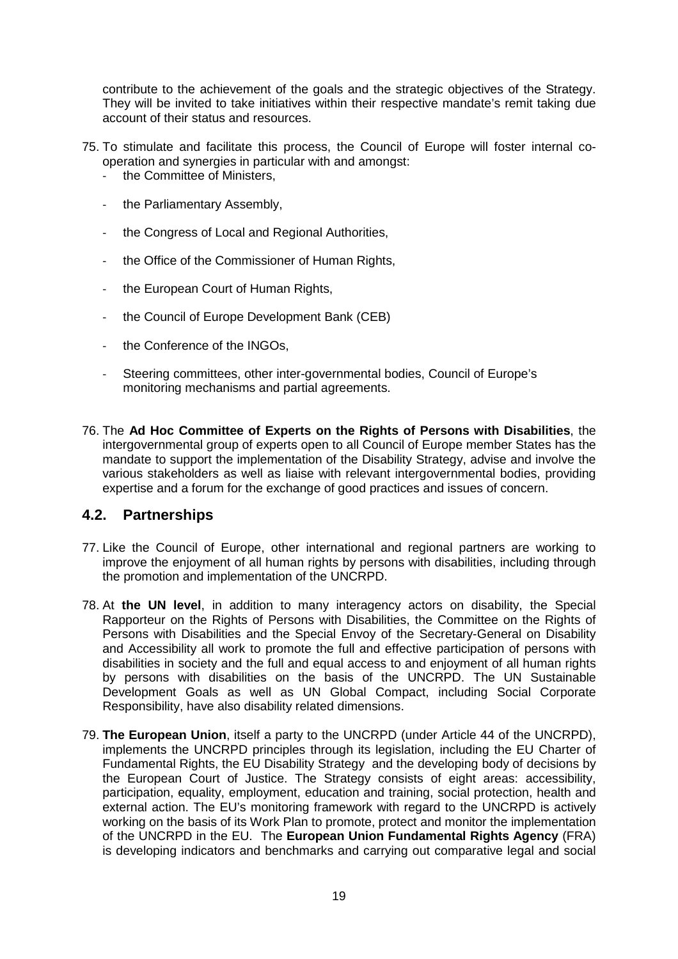contribute to the achievement of the goals and the strategic objectives of the Strategy. They will be invited to take initiatives within their respective mandate's remit taking due account of their status and resources.

- 75. To stimulate and facilitate this process, the Council of Europe will foster internal cooperation and synergies in particular with and amongst:
	- the Committee of Ministers,
	- the Parliamentary Assembly,
	- the Congress of Local and Regional Authorities,
	- the Office of the Commissioner of Human Rights,
	- the European Court of Human Rights,
	- the Council of Europe Development Bank (CEB)
	- the Conference of the INGOs.
	- Steering committees, other inter-governmental bodies, Council of Europe's monitoring mechanisms and partial agreements.
- 76. The **Ad Hoc Committee of Experts on the Rights of Persons with Disabilities**, the intergovernmental group of experts open to all Council of Europe member States has the mandate to support the implementation of the Disability Strategy, advise and involve the various stakeholders as well as liaise with relevant intergovernmental bodies, providing expertise and a forum for the exchange of good practices and issues of concern.

#### **4.2. Partnerships**

- 77. Like the Council of Europe, other international and regional partners are working to improve the enjoyment of all human rights by persons with disabilities, including through the promotion and implementation of the UNCRPD.
- 78. At **the UN level**, in addition to many interagency actors on disability, the Special Rapporteur on the Rights of Persons with Disabilities, the Committee on the Rights of Persons with Disabilities and the Special Envoy of the Secretary-General on Disability and Accessibility all work to promote the full and effective participation of persons with disabilities in society and the full and equal access to and enjoyment of all human rights by persons with disabilities on the basis of the UNCRPD. The UN Sustainable Development Goals as well as UN Global Compact, including Social Corporate Responsibility, have also disability related dimensions.
- 79. **The European Union**, itself a party to the UNCRPD (under Article 44 of the UNCRPD), implements the UNCRPD principles through its legislation, including the EU Charter of Fundamental Rights, the EU Disability Strategy and the developing body of decisions by the European Court of Justice. The Strategy consists of eight areas: accessibility, participation, equality, employment, education and training, social protection, health and external action. The EU's monitoring framework with regard to the UNCRPD is actively working on the basis of its Work Plan to promote, protect and monitor the implementation of the UNCRPD in the EU. The **European Union Fundamental Rights Agency** (FRA) is developing indicators and benchmarks and carrying out comparative legal and social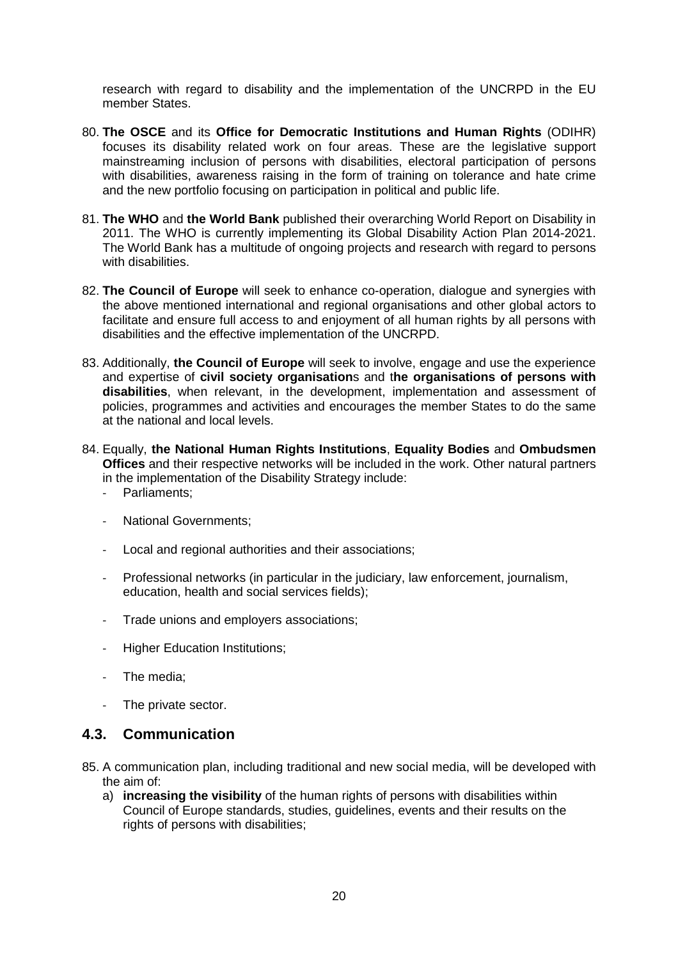research with regard to disability and the implementation of the UNCRPD in the EU member States.

- 80. **The OSCE** and its **Office for Democratic Institutions and Human Rights** (ODIHR) focuses its disability related work on four areas. These are the legislative support mainstreaming inclusion of persons with disabilities, electoral participation of persons with disabilities, awareness raising in the form of training on tolerance and hate crime and the new portfolio focusing on participation in political and public life.
- 81. **The WHO** and **the World Bank** published their overarching World Report on Disability in 2011. The WHO is currently implementing its Global Disability Action Plan 2014-2021. The World Bank has a multitude of ongoing projects and research with regard to persons with disabilities.
- 82. **The Council of Europe** will seek to enhance co-operation, dialogue and synergies with the above mentioned international and regional organisations and other global actors to facilitate and ensure full access to and enjoyment of all human rights by all persons with disabilities and the effective implementation of the UNCRPD.
- 83. Additionally, **the Council of Europe** will seek to involve, engage and use the experience and expertise of **civil society organisation**s and t**he organisations of persons with disabilities**, when relevant, in the development, implementation and assessment of policies, programmes and activities and encourages the member States to do the same at the national and local levels.
- 84. Equally, **the National Human Rights Institutions**, **Equality Bodies** and **Ombudsmen Offices** and their respective networks will be included in the work. Other natural partners in the implementation of the Disability Strategy include:
	- Parliaments:
	- National Governments:
	- Local and regional authorities and their associations;
	- Professional networks (in particular in the judiciary, law enforcement, journalism, education, health and social services fields);
	- Trade unions and employers associations;
	- Higher Education Institutions:
	- The media;
	- The private sector.

## **4.3. Communication**

- 85. A communication plan, including traditional and new social media, will be developed with the aim of:
	- a) **increasing the visibility** of the human rights of persons with disabilities within Council of Europe standards, studies, guidelines, events and their results on the rights of persons with disabilities;